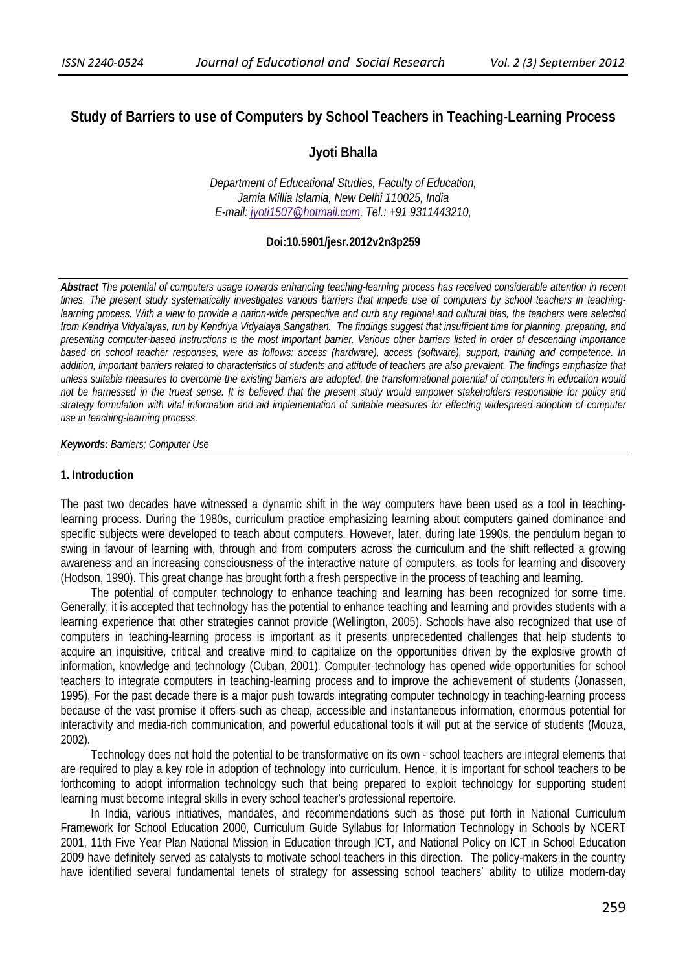# **Study of Barriers to use of Computers by School Teachers in Teaching-Learning Process**

## **Jyoti Bhalla**

*Department of Educational Studies, Faculty of Education, Jamia Millia Islamia, New Delhi 110025, India E-mail: jyoti1507@hotmail.com, Tel.: +91 9311443210,* 

#### **Doi:10.5901/jesr.2012v2n3p259**

*Abstract The potential of computers usage towards enhancing teaching-learning process has received considerable attention in recent times. The present study systematically investigates various barriers that impede use of computers by school teachers in teachinglearning process. With a view to provide a nation-wide perspective and curb any regional and cultural bias, the teachers were selected from Kendriya Vidyalayas, run by Kendriya Vidyalaya Sangathan. The findings suggest that insufficient time for planning, preparing, and presenting computer-based instructions is the most important barrier. Various other barriers listed in order of descending importance based on school teacher responses, were as follows: access (hardware), access (software), support, training and competence. In addition, important barriers related to characteristics of students and attitude of teachers are also prevalent. The findings emphasize that unless suitable measures to overcome the existing barriers are adopted, the transformational potential of computers in education would not be harnessed in the truest sense. It is believed that the present study would empower stakeholders responsible for policy and strategy formulation with vital information and aid implementation of suitable measures for effecting widespread adoption of computer use in teaching-learning process.* 

*Keywords: Barriers; Computer Use*

#### **1. Introduction**

The past two decades have witnessed a dynamic shift in the way computers have been used as a tool in teachinglearning process. During the 1980s, curriculum practice emphasizing learning about computers gained dominance and specific subjects were developed to teach about computers. However, later, during late 1990s, the pendulum began to swing in favour of learning with, through and from computers across the curriculum and the shift reflected a growing awareness and an increasing consciousness of the interactive nature of computers, as tools for learning and discovery (Hodson, 1990). This great change has brought forth a fresh perspective in the process of teaching and learning.

The potential of computer technology to enhance teaching and learning has been recognized for some time. Generally, it is accepted that technology has the potential to enhance teaching and learning and provides students with a learning experience that other strategies cannot provide (Wellington, 2005). Schools have also recognized that use of computers in teaching-learning process is important as it presents unprecedented challenges that help students to acquire an inquisitive, critical and creative mind to capitalize on the opportunities driven by the explosive growth of information, knowledge and technology (Cuban, 2001). Computer technology has opened wide opportunities for school teachers to integrate computers in teaching-learning process and to improve the achievement of students (Jonassen, 1995). For the past decade there is a major push towards integrating computer technology in teaching-learning process because of the vast promise it offers such as cheap, accessible and instantaneous information, enormous potential for interactivity and media-rich communication, and powerful educational tools it will put at the service of students (Mouza, 2002).

Technology does not hold the potential to be transformative on its own - school teachers are integral elements that are required to play a key role in adoption of technology into curriculum. Hence, it is important for school teachers to be forthcoming to adopt information technology such that being prepared to exploit technology for supporting student learning must become integral skills in every school teacher's professional repertoire.

In India, various initiatives, mandates, and recommendations such as those put forth in National Curriculum Framework for School Education 2000, Curriculum Guide Syllabus for Information Technology in Schools by NCERT 2001, 11th Five Year Plan National Mission in Education through ICT, and National Policy on ICT in School Education 2009 have definitely served as catalysts to motivate school teachers in this direction. The policy-makers in the country have identified several fundamental tenets of strategy for assessing school teachers' ability to utilize modern-day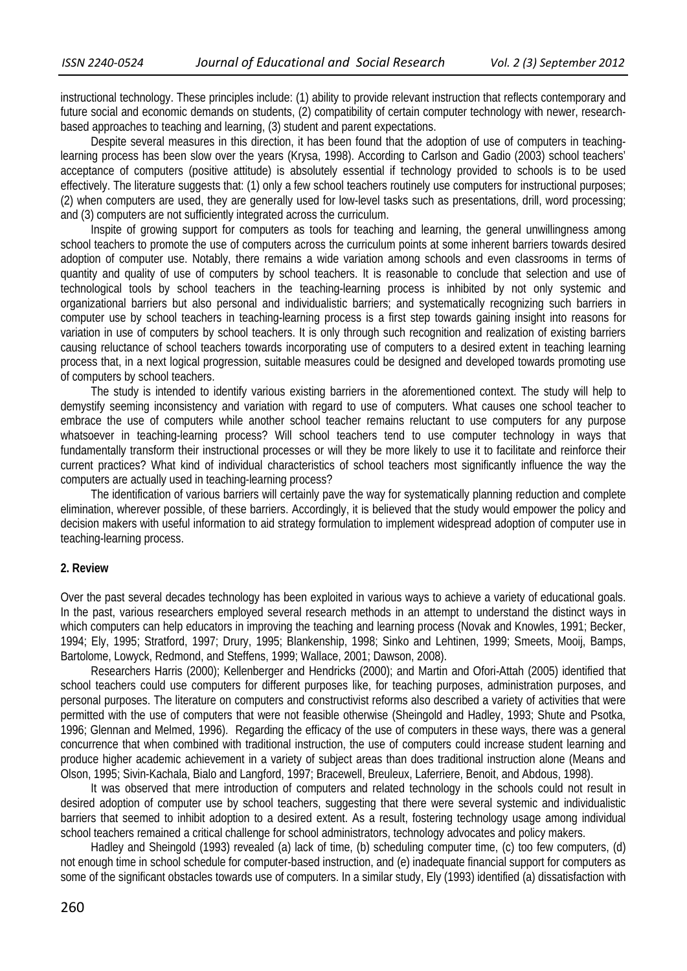instructional technology. These principles include: (1) ability to provide relevant instruction that reflects contemporary and future social and economic demands on students, (2) compatibility of certain computer technology with newer, researchbased approaches to teaching and learning, (3) student and parent expectations.

Despite several measures in this direction, it has been found that the adoption of use of computers in teachinglearning process has been slow over the years (Krysa, 1998). According to Carlson and Gadio (2003) school teachers' acceptance of computers (positive attitude) is absolutely essential if technology provided to schools is to be used effectively. The literature suggests that: (1) only a few school teachers routinely use computers for instructional purposes; (2) when computers are used, they are generally used for low-level tasks such as presentations, drill, word processing; and (3) computers are not sufficiently integrated across the curriculum.

Inspite of growing support for computers as tools for teaching and learning, the general unwillingness among school teachers to promote the use of computers across the curriculum points at some inherent barriers towards desired adoption of computer use. Notably, there remains a wide variation among schools and even classrooms in terms of quantity and quality of use of computers by school teachers. It is reasonable to conclude that selection and use of technological tools by school teachers in the teaching-learning process is inhibited by not only systemic and organizational barriers but also personal and individualistic barriers; and systematically recognizing such barriers in computer use by school teachers in teaching-learning process is a first step towards gaining insight into reasons for variation in use of computers by school teachers. It is only through such recognition and realization of existing barriers causing reluctance of school teachers towards incorporating use of computers to a desired extent in teaching learning process that, in a next logical progression, suitable measures could be designed and developed towards promoting use of computers by school teachers.

The study is intended to identify various existing barriers in the aforementioned context. The study will help to demystify seeming inconsistency and variation with regard to use of computers. What causes one school teacher to embrace the use of computers while another school teacher remains reluctant to use computers for any purpose whatsoever in teaching-learning process? Will school teachers tend to use computer technology in ways that fundamentally transform their instructional processes or will they be more likely to use it to facilitate and reinforce their current practices? What kind of individual characteristics of school teachers most significantly influence the way the computers are actually used in teaching-learning process?

The identification of various barriers will certainly pave the way for systematically planning reduction and complete elimination, wherever possible, of these barriers. Accordingly, it is believed that the study would empower the policy and decision makers with useful information to aid strategy formulation to implement widespread adoption of computer use in teaching-learning process.

### **2. Review**

Over the past several decades technology has been exploited in various ways to achieve a variety of educational goals. In the past, various researchers employed several research methods in an attempt to understand the distinct ways in which computers can help educators in improving the teaching and learning process (Novak and Knowles, 1991; Becker, 1994; Ely, 1995; Stratford, 1997; Drury, 1995; Blankenship, 1998; Sinko and Lehtinen, 1999; Smeets, Mooij, Bamps, Bartolome, Lowyck, Redmond, and Steffens, 1999; Wallace, 2001; Dawson, 2008).

Researchers Harris (2000); Kellenberger and Hendricks (2000); and Martin and Ofori-Attah (2005) identified that school teachers could use computers for different purposes like, for teaching purposes, administration purposes, and personal purposes. The literature on computers and constructivist reforms also described a variety of activities that were permitted with the use of computers that were not feasible otherwise (Sheingold and Hadley, 1993; Shute and Psotka, 1996; Glennan and Melmed, 1996). Regarding the efficacy of the use of computers in these ways, there was a general concurrence that when combined with traditional instruction, the use of computers could increase student learning and produce higher academic achievement in a variety of subject areas than does traditional instruction alone (Means and Olson, 1995; Sivin-Kachala, Bialo and Langford, 1997; Bracewell, Breuleux, Laferriere, Benoit, and Abdous, 1998).

It was observed that mere introduction of computers and related technology in the schools could not result in desired adoption of computer use by school teachers, suggesting that there were several systemic and individualistic barriers that seemed to inhibit adoption to a desired extent. As a result, fostering technology usage among individual school teachers remained a critical challenge for school administrators, technology advocates and policy makers.

Hadley and Sheingold (1993) revealed (a) lack of time, (b) scheduling computer time, (c) too few computers, (d) not enough time in school schedule for computer-based instruction, and (e) inadequate financial support for computers as some of the significant obstacles towards use of computers. In a similar study, Ely (1993) identified (a) dissatisfaction with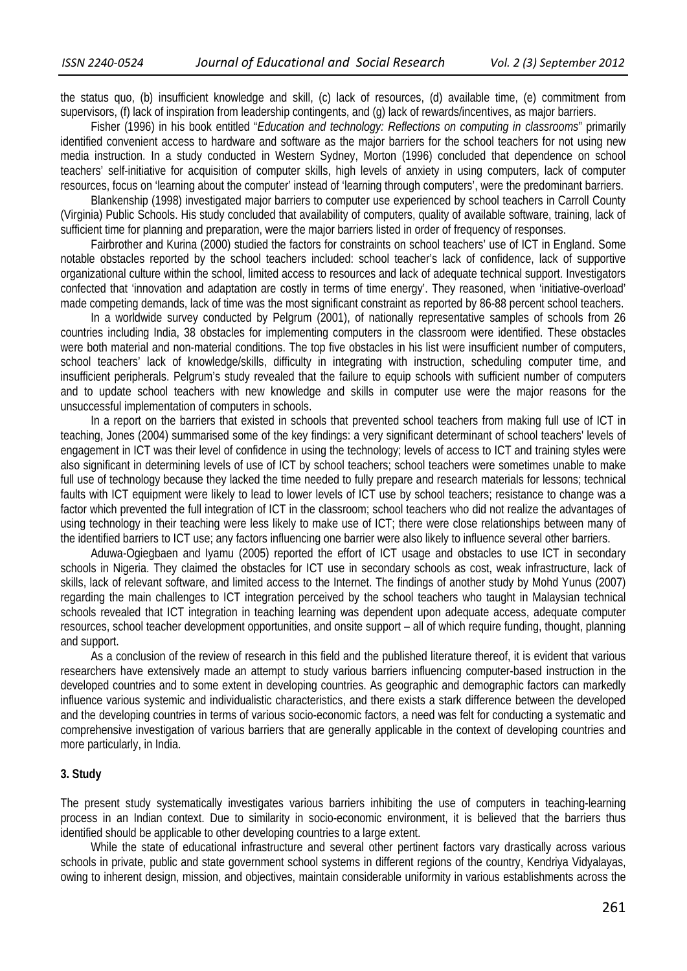the status quo, (b) insufficient knowledge and skill, (c) lack of resources, (d) available time, (e) commitment from supervisors, (f) lack of inspiration from leadership contingents, and (g) lack of rewards/incentives, as major barriers.

Fisher (1996) in his book entitled "*Education and technology: Reflections on computing in classrooms*" primarily identified convenient access to hardware and software as the major barriers for the school teachers for not using new media instruction. In a study conducted in Western Sydney, Morton (1996) concluded that dependence on school teachers' self-initiative for acquisition of computer skills, high levels of anxiety in using computers, lack of computer resources, focus on 'learning about the computer' instead of 'learning through computers', were the predominant barriers.

Blankenship (1998) investigated major barriers to computer use experienced by school teachers in Carroll County (Virginia) Public Schools. His study concluded that availability of computers, quality of available software, training, lack of sufficient time for planning and preparation, were the major barriers listed in order of frequency of responses.

Fairbrother and Kurina (2000) studied the factors for constraints on school teachers' use of ICT in England. Some notable obstacles reported by the school teachers included: school teacher's lack of confidence, lack of supportive organizational culture within the school, limited access to resources and lack of adequate technical support. Investigators confected that 'innovation and adaptation are costly in terms of time energy'. They reasoned, when 'initiative-overload' made competing demands, lack of time was the most significant constraint as reported by 86-88 percent school teachers.

In a worldwide survey conducted by Pelgrum (2001), of nationally representative samples of schools from 26 countries including India, 38 obstacles for implementing computers in the classroom were identified. These obstacles were both material and non-material conditions. The top five obstacles in his list were insufficient number of computers, school teachers' lack of knowledge/skills, difficulty in integrating with instruction, scheduling computer time, and insufficient peripherals. Pelgrum's study revealed that the failure to equip schools with sufficient number of computers and to update school teachers with new knowledge and skills in computer use were the major reasons for the unsuccessful implementation of computers in schools.

In a report on the barriers that existed in schools that prevented school teachers from making full use of ICT in teaching, Jones (2004) summarised some of the key findings: a very significant determinant of school teachers' levels of engagement in ICT was their level of confidence in using the technology; levels of access to ICT and training styles were also significant in determining levels of use of ICT by school teachers; school teachers were sometimes unable to make full use of technology because they lacked the time needed to fully prepare and research materials for lessons; technical faults with ICT equipment were likely to lead to lower levels of ICT use by school teachers; resistance to change was a factor which prevented the full integration of ICT in the classroom; school teachers who did not realize the advantages of using technology in their teaching were less likely to make use of ICT; there were close relationships between many of the identified barriers to ICT use; any factors influencing one barrier were also likely to influence several other barriers.

Aduwa-Ogiegbaen and Iyamu (2005) reported the effort of ICT usage and obstacles to use ICT in secondary schools in Nigeria. They claimed the obstacles for ICT use in secondary schools as cost, weak infrastructure, lack of skills, lack of relevant software, and limited access to the Internet. The findings of another study by Mohd Yunus (2007) regarding the main challenges to ICT integration perceived by the school teachers who taught in Malaysian technical schools revealed that ICT integration in teaching learning was dependent upon adequate access, adequate computer resources, school teacher development opportunities, and onsite support – all of which require funding, thought, planning and support.

As a conclusion of the review of research in this field and the published literature thereof, it is evident that various researchers have extensively made an attempt to study various barriers influencing computer-based instruction in the developed countries and to some extent in developing countries. As geographic and demographic factors can markedly influence various systemic and individualistic characteristics, and there exists a stark difference between the developed and the developing countries in terms of various socio-economic factors, a need was felt for conducting a systematic and comprehensive investigation of various barriers that are generally applicable in the context of developing countries and more particularly, in India.

#### **3. Study**

The present study systematically investigates various barriers inhibiting the use of computers in teaching-learning process in an Indian context. Due to similarity in socio-economic environment, it is believed that the barriers thus identified should be applicable to other developing countries to a large extent.

While the state of educational infrastructure and several other pertinent factors vary drastically across various schools in private, public and state government school systems in different regions of the country, Kendriya Vidyalayas, owing to inherent design, mission, and objectives, maintain considerable uniformity in various establishments across the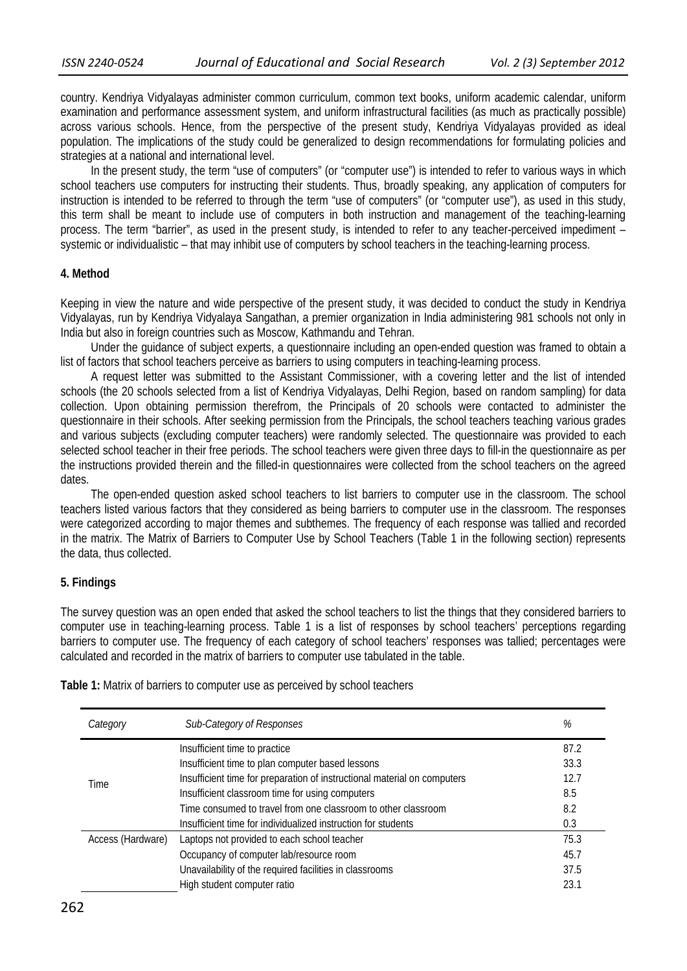country. Kendriya Vidyalayas administer common curriculum, common text books, uniform academic calendar, uniform examination and performance assessment system, and uniform infrastructural facilities (as much as practically possible) across various schools. Hence, from the perspective of the present study, Kendriya Vidyalayas provided as ideal population. The implications of the study could be generalized to design recommendations for formulating policies and strategies at a national and international level.

In the present study, the term "use of computers" (or "computer use") is intended to refer to various ways in which school teachers use computers for instructing their students. Thus, broadly speaking, any application of computers for instruction is intended to be referred to through the term "use of computers" (or "computer use"), as used in this study, this term shall be meant to include use of computers in both instruction and management of the teaching-learning process. The term "barrier", as used in the present study, is intended to refer to any teacher-perceived impediment – systemic or individualistic – that may inhibit use of computers by school teachers in the teaching-learning process.

## **4. Method**

Keeping in view the nature and wide perspective of the present study, it was decided to conduct the study in Kendriya Vidyalayas, run by Kendriya Vidyalaya Sangathan, a premier organization in India administering 981 schools not only in India but also in foreign countries such as Moscow, Kathmandu and Tehran.

Under the guidance of subject experts, a questionnaire including an open-ended question was framed to obtain a list of factors that school teachers perceive as barriers to using computers in teaching-learning process.

A request letter was submitted to the Assistant Commissioner, with a covering letter and the list of intended schools (the 20 schools selected from a list of Kendriya Vidyalayas, Delhi Region, based on random sampling) for data collection. Upon obtaining permission therefrom, the Principals of 20 schools were contacted to administer the questionnaire in their schools. After seeking permission from the Principals, the school teachers teaching various grades and various subjects (excluding computer teachers) were randomly selected. The questionnaire was provided to each selected school teacher in their free periods. The school teachers were given three days to fill-in the questionnaire as per the instructions provided therein and the filled-in questionnaires were collected from the school teachers on the agreed dates.

The open-ended question asked school teachers to list barriers to computer use in the classroom. The school teachers listed various factors that they considered as being barriers to computer use in the classroom. The responses were categorized according to major themes and subthemes. The frequency of each response was tallied and recorded in the matrix. The Matrix of Barriers to Computer Use by School Teachers (Table 1 in the following section) represents the data, thus collected.

# **5. Findings**

The survey question was an open ended that asked the school teachers to list the things that they considered barriers to computer use in teaching-learning process. Table 1 is a list of responses by school teachers' perceptions regarding barriers to computer use. The frequency of each category of school teachers' responses was tallied; percentages were calculated and recorded in the matrix of barriers to computer use tabulated in the table.

| Category          | <b>Sub-Category of Responses</b>                                         | %    |
|-------------------|--------------------------------------------------------------------------|------|
|                   | Insufficient time to practice                                            | 87.2 |
|                   | Insufficient time to plan computer based lessons                         | 33.3 |
| Time              | Insufficient time for preparation of instructional material on computers | 12.7 |
|                   | Insufficient classroom time for using computers                          | 8.5  |
|                   | Time consumed to travel from one classroom to other classroom            | 8.2  |
|                   | Insufficient time for individualized instruction for students            | 0.3  |
| Access (Hardware) | Laptops not provided to each school teacher                              | 75.3 |
|                   | Occupancy of computer lab/resource room                                  | 45.7 |
|                   | Unavailability of the required facilities in classrooms                  | 37.5 |
|                   | High student computer ratio                                              | 23.1 |

**Table 1:** Matrix of barriers to computer use as perceived by school teachers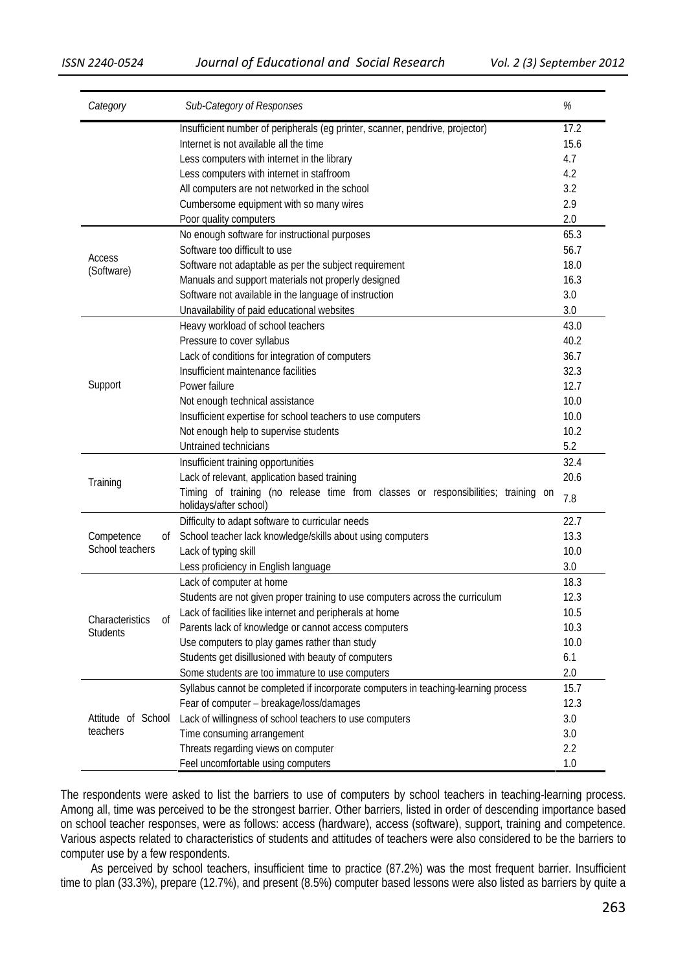| Category                                 | Sub-Category of Responses                                                                                   | $\%$ |
|------------------------------------------|-------------------------------------------------------------------------------------------------------------|------|
|                                          | Insufficient number of peripherals (eg printer, scanner, pendrive, projector)                               | 17.2 |
|                                          | Internet is not available all the time                                                                      | 15.6 |
|                                          | Less computers with internet in the library                                                                 | 4.7  |
|                                          | Less computers with internet in staffroom                                                                   | 4.2  |
|                                          | All computers are not networked in the school                                                               | 3.2  |
|                                          | Cumbersome equipment with so many wires                                                                     | 2.9  |
|                                          | Poor quality computers                                                                                      | 2.0  |
|                                          | No enough software for instructional purposes                                                               | 65.3 |
|                                          | Software too difficult to use                                                                               | 56.7 |
| Access<br>(Software)                     | Software not adaptable as per the subject requirement                                                       | 18.0 |
|                                          | Manuals and support materials not properly designed                                                         |      |
|                                          | Software not available in the language of instruction                                                       | 3.0  |
|                                          | Unavailability of paid educational websites                                                                 | 3.0  |
|                                          | Heavy workload of school teachers                                                                           | 43.0 |
|                                          | Pressure to cover syllabus                                                                                  | 40.2 |
|                                          | Lack of conditions for integration of computers                                                             | 36.7 |
|                                          | Insufficient maintenance facilities                                                                         | 32.3 |
| Support                                  | Power failure                                                                                               | 12.7 |
|                                          | Not enough technical assistance                                                                             | 10.0 |
|                                          | Insufficient expertise for school teachers to use computers                                                 | 10.0 |
|                                          | Not enough help to supervise students                                                                       | 10.2 |
|                                          | Untrained technicians                                                                                       | 5.2  |
|                                          | Insufficient training opportunities                                                                         | 32.4 |
| Training                                 | Lack of relevant, application based training                                                                | 20.6 |
|                                          | Timing of training (no release time from classes or responsibilities; training on<br>holidays/after school) | 7.8  |
|                                          | Difficulty to adapt software to curricular needs                                                            | 22.7 |
| Competence<br>Οf                         | School teacher lack knowledge/skills about using computers                                                  | 13.3 |
| School teachers                          | Lack of typing skill                                                                                        | 10.0 |
|                                          | Less proficiency in English language                                                                        | 3.0  |
|                                          | Lack of computer at home                                                                                    | 18.3 |
|                                          | Students are not given proper training to use computers across the curriculum                               | 12.3 |
|                                          | Lack of facilities like internet and peripherals at home                                                    | 10.5 |
| Characteristics<br>0f<br><b>Students</b> | Parents lack of knowledge or cannot access computers                                                        | 10.3 |
|                                          | Use computers to play games rather than study                                                               | 10.0 |
|                                          | Students get disillusioned with beauty of computers                                                         | 6.1  |
|                                          | Some students are too immature to use computers                                                             | 2.0  |
|                                          | Syllabus cannot be completed if incorporate computers in teaching-learning process                          | 15.7 |
|                                          | Fear of computer - breakage/loss/damages                                                                    | 12.3 |
| Attitude of School                       | Lack of willingness of school teachers to use computers                                                     | 3.0  |
| teachers                                 | Time consuming arrangement                                                                                  | 3.0  |
|                                          | Threats regarding views on computer                                                                         | 2.2  |
|                                          | Feel uncomfortable using computers                                                                          | 1.0  |

The respondents were asked to list the barriers to use of computers by school teachers in teaching-learning process. Among all, time was perceived to be the strongest barrier. Other barriers, listed in order of descending importance based on school teacher responses, were as follows: access (hardware), access (software), support, training and competence. Various aspects related to characteristics of students and attitudes of teachers were also considered to be the barriers to computer use by a few respondents.

As perceived by school teachers, insufficient time to practice (87.2%) was the most frequent barrier. Insufficient time to plan (33.3%), prepare (12.7%), and present (8.5%) computer based lessons were also listed as barriers by quite a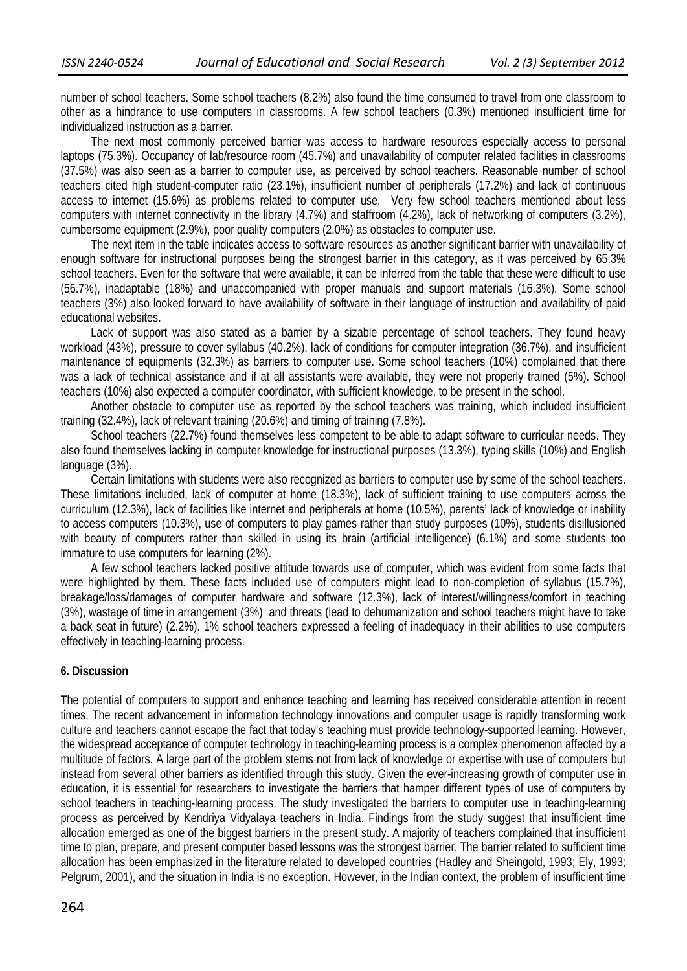number of school teachers. Some school teachers (8.2%) also found the time consumed to travel from one classroom to other as a hindrance to use computers in classrooms. A few school teachers (0.3%) mentioned insufficient time for individualized instruction as a barrier.

The next most commonly perceived barrier was access to hardware resources especially access to personal laptops (75.3%). Occupancy of lab/resource room (45.7%) and unavailability of computer related facilities in classrooms (37.5%) was also seen as a barrier to computer use, as perceived by school teachers. Reasonable number of school teachers cited high student-computer ratio (23.1%), insufficient number of peripherals (17.2%) and lack of continuous access to internet (15.6%) as problems related to computer use. Very few school teachers mentioned about less computers with internet connectivity in the library (4.7%) and staffroom (4.2%), lack of networking of computers (3.2%), cumbersome equipment (2.9%), poor quality computers (2.0%) as obstacles to computer use.

The next item in the table indicates access to software resources as another significant barrier with unavailability of enough software for instructional purposes being the strongest barrier in this category, as it was perceived by 65.3% school teachers. Even for the software that were available, it can be inferred from the table that these were difficult to use (56.7%), inadaptable (18%) and unaccompanied with proper manuals and support materials (16.3%). Some school teachers (3%) also looked forward to have availability of software in their language of instruction and availability of paid educational websites.

Lack of support was also stated as a barrier by a sizable percentage of school teachers. They found heavy workload (43%), pressure to cover syllabus (40.2%), lack of conditions for computer integration (36.7%), and insufficient maintenance of equipments (32.3%) as barriers to computer use. Some school teachers (10%) complained that there was a lack of technical assistance and if at all assistants were available, they were not properly trained (5%). School teachers (10%) also expected a computer coordinator, with sufficient knowledge, to be present in the school.

Another obstacle to computer use as reported by the school teachers was training, which included insufficient training (32.4%), lack of relevant training (20.6%) and timing of training (7.8%).

School teachers (22.7%) found themselves less competent to be able to adapt software to curricular needs. They also found themselves lacking in computer knowledge for instructional purposes (13.3%), typing skills (10%) and English language (3%).

Certain limitations with students were also recognized as barriers to computer use by some of the school teachers. These limitations included, lack of computer at home (18.3%), lack of sufficient training to use computers across the curriculum (12.3%), lack of facilities like internet and peripherals at home (10.5%), parents' lack of knowledge or inability to access computers (10.3%), use of computers to play games rather than study purposes (10%), students disillusioned with beauty of computers rather than skilled in using its brain (artificial intelligence) (6.1%) and some students too immature to use computers for learning (2%).

A few school teachers lacked positive attitude towards use of computer, which was evident from some facts that were highlighted by them. These facts included use of computers might lead to non-completion of syllabus (15.7%), breakage/loss/damages of computer hardware and software (12.3%), lack of interest/willingness/comfort in teaching (3%), wastage of time in arrangement (3%) and threats (lead to dehumanization and school teachers might have to take a back seat in future) (2.2%). 1% school teachers expressed a feeling of inadequacy in their abilities to use computers effectively in teaching-learning process.

## **6. Discussion**

The potential of computers to support and enhance teaching and learning has received considerable attention in recent times. The recent advancement in information technology innovations and computer usage is rapidly transforming work culture and teachers cannot escape the fact that today's teaching must provide technology-supported learning. However, the widespread acceptance of computer technology in teaching-learning process is a complex phenomenon affected by a multitude of factors. A large part of the problem stems not from lack of knowledge or expertise with use of computers but instead from several other barriers as identified through this study. Given the ever-increasing growth of computer use in education, it is essential for researchers to investigate the barriers that hamper different types of use of computers by school teachers in teaching-learning process. The study investigated the barriers to computer use in teaching-learning process as perceived by Kendriya Vidyalaya teachers in India. Findings from the study suggest that insufficient time allocation emerged as one of the biggest barriers in the present study. A majority of teachers complained that insufficient time to plan, prepare, and present computer based lessons was the strongest barrier. The barrier related to sufficient time allocation has been emphasized in the literature related to developed countries (Hadley and Sheingold, 1993; Ely, 1993; Pelgrum, 2001), and the situation in India is no exception. However, in the Indian context, the problem of insufficient time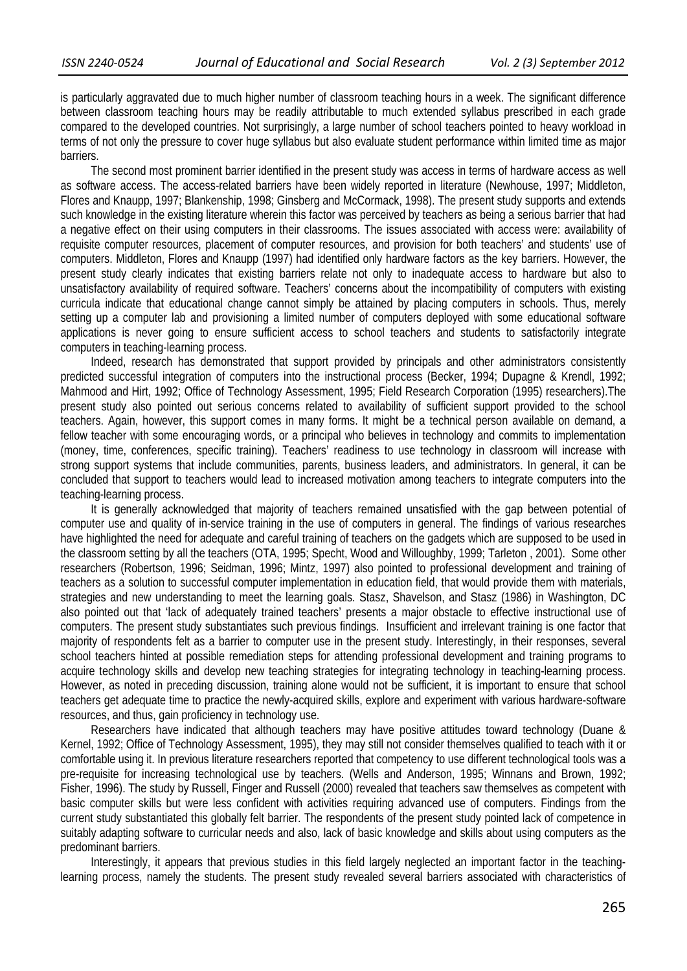is particularly aggravated due to much higher number of classroom teaching hours in a week. The significant difference between classroom teaching hours may be readily attributable to much extended syllabus prescribed in each grade compared to the developed countries. Not surprisingly, a large number of school teachers pointed to heavy workload in terms of not only the pressure to cover huge syllabus but also evaluate student performance within limited time as major barriers.

The second most prominent barrier identified in the present study was access in terms of hardware access as well as software access. The access-related barriers have been widely reported in literature (Newhouse, 1997; Middleton, Flores and Knaupp, 1997; Blankenship, 1998; Ginsberg and McCormack, 1998). The present study supports and extends such knowledge in the existing literature wherein this factor was perceived by teachers as being a serious barrier that had a negative effect on their using computers in their classrooms. The issues associated with access were: availability of requisite computer resources, placement of computer resources, and provision for both teachers' and students' use of computers. Middleton, Flores and Knaupp (1997) had identified only hardware factors as the key barriers. However, the present study clearly indicates that existing barriers relate not only to inadequate access to hardware but also to unsatisfactory availability of required software. Teachers' concerns about the incompatibility of computers with existing curricula indicate that educational change cannot simply be attained by placing computers in schools. Thus, merely setting up a computer lab and provisioning a limited number of computers deployed with some educational software applications is never going to ensure sufficient access to school teachers and students to satisfactorily integrate computers in teaching-learning process.

Indeed, research has demonstrated that support provided by principals and other administrators consistently predicted successful integration of computers into the instructional process (Becker, 1994; Dupagne & Krendl, 1992; Mahmood and Hirt, 1992; Office of Technology Assessment, 1995; Field Research Corporation (1995) researchers).The present study also pointed out serious concerns related to availability of sufficient support provided to the school teachers. Again, however, this support comes in many forms. It might be a technical person available on demand, a fellow teacher with some encouraging words, or a principal who believes in technology and commits to implementation (money, time, conferences, specific training). Teachers' readiness to use technology in classroom will increase with strong support systems that include communities, parents, business leaders, and administrators. In general, it can be concluded that support to teachers would lead to increased motivation among teachers to integrate computers into the teaching-learning process.

It is generally acknowledged that majority of teachers remained unsatisfied with the gap between potential of computer use and quality of in-service training in the use of computers in general. The findings of various researches have highlighted the need for adequate and careful training of teachers on the gadgets which are supposed to be used in the classroom setting by all the teachers (OTA, 1995; Specht, Wood and Willoughby, 1999; Tarleton , 2001). Some other researchers (Robertson, 1996; Seidman, 1996; Mintz, 1997) also pointed to professional development and training of teachers as a solution to successful computer implementation in education field, that would provide them with materials, strategies and new understanding to meet the learning goals. Stasz, Shavelson, and Stasz (1986) in Washington, DC also pointed out that 'lack of adequately trained teachers' presents a major obstacle to effective instructional use of computers. The present study substantiates such previous findings. Insufficient and irrelevant training is one factor that majority of respondents felt as a barrier to computer use in the present study. Interestingly, in their responses, several school teachers hinted at possible remediation steps for attending professional development and training programs to acquire technology skills and develop new teaching strategies for integrating technology in teaching-learning process. However, as noted in preceding discussion, training alone would not be sufficient, it is important to ensure that school teachers get adequate time to practice the newly-acquired skills, explore and experiment with various hardware-software resources, and thus, gain proficiency in technology use.

Researchers have indicated that although teachers may have positive attitudes toward technology (Duane & Kernel, 1992; Office of Technology Assessment, 1995), they may still not consider themselves qualified to teach with it or comfortable using it. In previous literature researchers reported that competency to use different technological tools was a pre-requisite for increasing technological use by teachers. (Wells and Anderson, 1995; Winnans and Brown, 1992; Fisher, 1996). The study by Russell, Finger and Russell (2000) revealed that teachers saw themselves as competent with basic computer skills but were less confident with activities requiring advanced use of computers. Findings from the current study substantiated this globally felt barrier. The respondents of the present study pointed lack of competence in suitably adapting software to curricular needs and also, lack of basic knowledge and skills about using computers as the predominant barriers.

Interestingly, it appears that previous studies in this field largely neglected an important factor in the teachinglearning process, namely the students. The present study revealed several barriers associated with characteristics of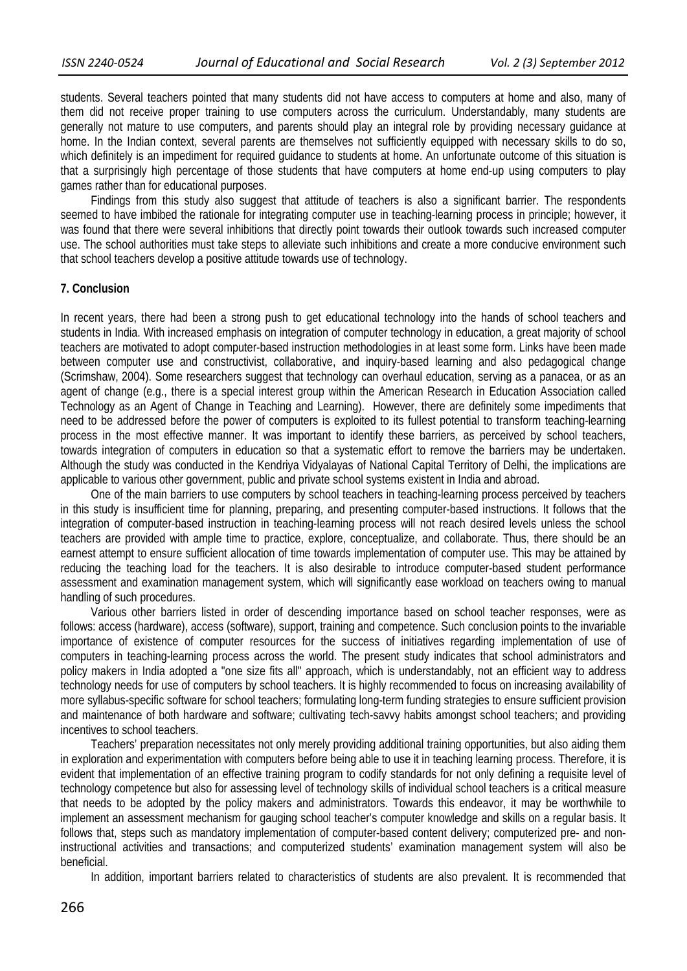students. Several teachers pointed that many students did not have access to computers at home and also, many of them did not receive proper training to use computers across the curriculum. Understandably, many students are generally not mature to use computers, and parents should play an integral role by providing necessary guidance at home. In the Indian context, several parents are themselves not sufficiently equipped with necessary skills to do so, which definitely is an impediment for required guidance to students at home. An unfortunate outcome of this situation is that a surprisingly high percentage of those students that have computers at home end-up using computers to play games rather than for educational purposes.

Findings from this study also suggest that attitude of teachers is also a significant barrier. The respondents seemed to have imbibed the rationale for integrating computer use in teaching-learning process in principle; however, it was found that there were several inhibitions that directly point towards their outlook towards such increased computer use. The school authorities must take steps to alleviate such inhibitions and create a more conducive environment such that school teachers develop a positive attitude towards use of technology.

### **7. Conclusion**

In recent years, there had been a strong push to get educational technology into the hands of school teachers and students in India. With increased emphasis on integration of computer technology in education, a great majority of school teachers are motivated to adopt computer-based instruction methodologies in at least some form. Links have been made between computer use and constructivist, collaborative, and inquiry-based learning and also pedagogical change (Scrimshaw, 2004). Some researchers suggest that technology can overhaul education, serving as a panacea, or as an agent of change (e.g., there is a special interest group within the American Research in Education Association called Technology as an Agent of Change in Teaching and Learning). However, there are definitely some impediments that need to be addressed before the power of computers is exploited to its fullest potential to transform teaching-learning process in the most effective manner. It was important to identify these barriers, as perceived by school teachers, towards integration of computers in education so that a systematic effort to remove the barriers may be undertaken. Although the study was conducted in the Kendriya Vidyalayas of National Capital Territory of Delhi, the implications are applicable to various other government, public and private school systems existent in India and abroad.

One of the main barriers to use computers by school teachers in teaching-learning process perceived by teachers in this study is insufficient time for planning, preparing, and presenting computer-based instructions. It follows that the integration of computer-based instruction in teaching-learning process will not reach desired levels unless the school teachers are provided with ample time to practice, explore, conceptualize, and collaborate. Thus, there should be an earnest attempt to ensure sufficient allocation of time towards implementation of computer use. This may be attained by reducing the teaching load for the teachers. It is also desirable to introduce computer-based student performance assessment and examination management system, which will significantly ease workload on teachers owing to manual handling of such procedures.

Various other barriers listed in order of descending importance based on school teacher responses, were as follows: access (hardware), access (software), support, training and competence. Such conclusion points to the invariable importance of existence of computer resources for the success of initiatives regarding implementation of use of computers in teaching-learning process across the world. The present study indicates that school administrators and policy makers in India adopted a "one size fits all" approach, which is understandably, not an efficient way to address technology needs for use of computers by school teachers. It is highly recommended to focus on increasing availability of more syllabus-specific software for school teachers; formulating long-term funding strategies to ensure sufficient provision and maintenance of both hardware and software; cultivating tech-savvy habits amongst school teachers; and providing incentives to school teachers.

Teachers' preparation necessitates not only merely providing additional training opportunities, but also aiding them in exploration and experimentation with computers before being able to use it in teaching learning process. Therefore, it is evident that implementation of an effective training program to codify standards for not only defining a requisite level of technology competence but also for assessing level of technology skills of individual school teachers is a critical measure that needs to be adopted by the policy makers and administrators. Towards this endeavor, it may be worthwhile to implement an assessment mechanism for gauging school teacher's computer knowledge and skills on a regular basis. It follows that, steps such as mandatory implementation of computer-based content delivery; computerized pre- and noninstructional activities and transactions; and computerized students' examination management system will also be beneficial.

In addition, important barriers related to characteristics of students are also prevalent. It is recommended that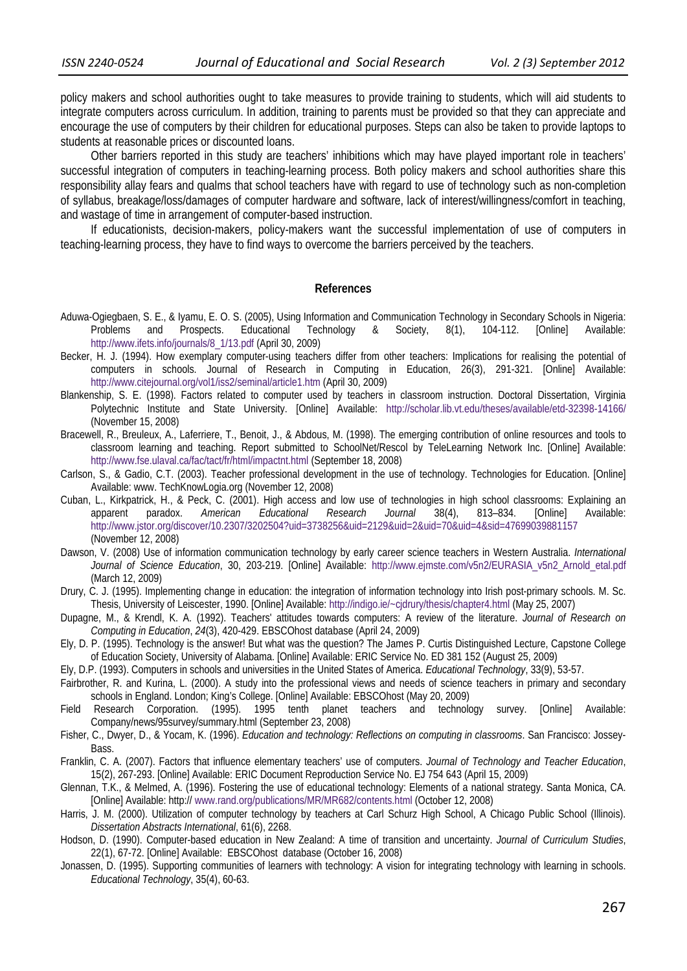policy makers and school authorities ought to take measures to provide training to students, which will aid students to integrate computers across curriculum. In addition, training to parents must be provided so that they can appreciate and encourage the use of computers by their children for educational purposes. Steps can also be taken to provide laptops to students at reasonable prices or discounted loans.

Other barriers reported in this study are teachers' inhibitions which may have played important role in teachers' successful integration of computers in teaching-learning process. Both policy makers and school authorities share this responsibility allay fears and qualms that school teachers have with regard to use of technology such as non-completion of syllabus, breakage/loss/damages of computer hardware and software, lack of interest/willingness/comfort in teaching, and wastage of time in arrangement of computer-based instruction.

If educationists, decision-makers, policy-makers want the successful implementation of use of computers in teaching-learning process, they have to find ways to overcome the barriers perceived by the teachers.

#### **References**

- Aduwa-Ogiegbaen, S. E., & Iyamu, E. O. S. (2005), Using Information and Communication Technology in Secondary Schools in Nigeria: Problems and Prospects. Educational Technology & Society, 8(1), 104-112. [Online] Available: http://www.ifets.info/journals/8\_1/13.pdf (April 30, 2009)
- Becker, H. J. (1994). How exemplary computer-using teachers differ from other teachers: Implications for realising the potential of computers in schools. Journal of Research in Computing in Education, 26(3), 291-321. [Online] Available: http://www.citejournal.org/vol1/iss2/seminal/article1.htm (April 30, 2009)
- Blankenship, S. E. (1998). Factors related to computer used by teachers in classroom instruction. Doctoral Dissertation, Virginia Polytechnic Institute and State University. [Online] Available: http://scholar.lib.vt.edu/theses/available/etd-32398-14166/ (November 15, 2008)
- Bracewell, R., Breuleux, A., Laferriere, T., Benoit, J., & Abdous, M. (1998). The emerging contribution of online resources and tools to classroom learning and teaching. Report submitted to SchoolNet/Rescol by TeleLearning Network Inc. [Online] Available: http://www.fse.ulaval.ca/fac/tact/fr/html/impactnt.html (September 18, 2008)
- Carlson, S., & Gadio, C.T. (2003). Teacher professional development in the use of technology. Technologies for Education. [Online] Available: www. TechKnowLogia.org (November 12, 2008)
- Cuban, L., Kirkpatrick, H., & Peck, C. (2001). High access and low use of technologies in high school classrooms: Explaining an apparent paradox. *American Educational Research Journal* 38(4), 813–834. [Online] Available: http://www.jstor.org/discover/10.2307/3202504?uid=3738256&uid=2129&uid=2&uid=70&uid=4&sid=47699039881157 (November 12, 2008)
- Dawson, V. (2008) Use of information communication technology by early career science teachers in Western Australia. *International Journal of Science Education*, 30, 203-219. [Online] Available: http://www.ejmste.com/v5n2/EURASIA\_v5n2\_Arnold\_etal.pdf (March 12, 2009)
- Drury, C. J. (1995). Implementing change in education: the integration of information technology into Irish post-primary schools. M. Sc. Thesis, University of Leiscester, 1990. [Online] Available: http://indigo.ie/~cjdrury/thesis/chapter4.html (May 25, 2007)
- Dupagne, M., & Krendl, K. A. (1992). Teachers' attitudes towards computers: A review of the literature. *Journal of Research on Computing in Education*, *24*(3), 420-429. EBSCOhost database (April 24, 2009)
- Ely, D. P. (1995). Technology is the answer! But what was the question? The James P. Curtis Distinguished Lecture, Capstone College of Education Society, University of Alabama. [Online] Available: ERIC Service No. ED 381 152 (August 25, 2009)
- Ely, D.P. (1993). Computers in schools and universities in the United States of America. *Educational Technology*, 33(9), 53-57.
- Fairbrother, R. and Kurina, L. (2000). A study into the professional views and needs of science teachers in primary and secondary schools in England. London; King's College. [Online] Available: EBSCOhost (May 20, 2009)
- Field Research Corporation. (1995). 1995 tenth planet teachers and technology survey. [Online] Available: Company/news/95survey/summary.html (September 23, 2008)
- Fisher, C., Dwyer, D., & Yocam, K. (1996). *Education and technology: Reflections on computing in classrooms*. San Francisco: Jossey-Bass.
- Franklin, C. A. (2007). Factors that influence elementary teachers' use of computers. *Journal of Technology and Teacher Education*, 15(2), 267-293. [Online] Available: ERIC Document Reproduction Service No. EJ 754 643 (April 15, 2009)
- Glennan, T.K., & Melmed, A. (1996). Fostering the use of educational technology: Elements of a national strategy. Santa Monica, CA. [Online] Available: http:// www.rand.org/publications/MR/MR682/contents.html (October 12, 2008)
- Harris, J. M. (2000). Utilization of computer technology by teachers at Carl Schurz High School, A Chicago Public School (Illinois). *Dissertation Abstracts International*, 61(6), 2268.
- Hodson, D. (1990). Computer-based education in New Zealand: A time of transition and uncertainty. *Journal of Curriculum Studies*, 22(1), 67-72. [Online] Available: EBSCOhost database (October 16, 2008)
- Jonassen, D. (1995). Supporting communities of learners with technology: A vision for integrating technology with learning in schools. *Educational Technology*, 35(4), 60-63.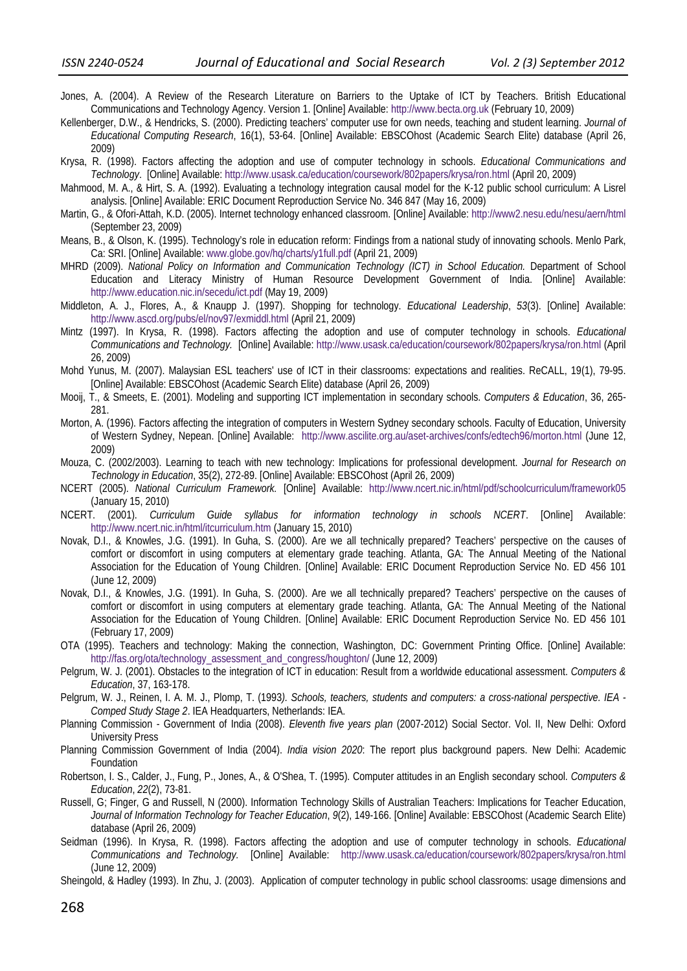- Jones, A. (2004). A Review of the Research Literature on Barriers to the Uptake of ICT by Teachers. British Educational Communications and Technology Agency. Version 1. [Online] Available: http://www.becta.org.uk (February 10, 2009)
- Kellenberger, D.W., & Hendricks, S. (2000). Predicting teachers' computer use for own needs, teaching and student learning. *Journal of Educational Computing Research*, 16(1), 53-64. [Online] Available: EBSCOhost (Academic Search Elite) database (April 26, 2009)
- Krysa, R. (1998). Factors affecting the adoption and use of computer technology in schools. *Educational Communications and Technology*. [Online] Available: http://www.usask.ca/education/coursework/802papers/krysa/ron.html (April 20, 2009)
- Mahmood, M. A., & Hirt, S. A. (1992). Evaluating a technology integration causal model for the K-12 public school curriculum: A Lisrel analysis. [Online] Available: ERIC Document Reproduction Service No. 346 847 (May 16, 2009)
- Martin, G., & Ofori-Attah, K.D. (2005). Internet technology enhanced classroom. [Online] Available: http://www2.nesu.edu/nesu/aern/html (September 23, 2009)
- Means, B., & Olson, K. (1995). Technology's role in education reform: Findings from a national study of innovating schools. Menlo Park, Ca: SRI. [Online] Available: www.globe.gov/hq/charts/y1full.pdf (April 21, 2009)
- MHRD (2009). *National Policy on Information and Communication Technology (ICT) in School Education.* Department of School Education and Literacy Ministry of Human Resource Development Government of India. [Online] Available: http://www.education.nic.in/secedu/ict.pdf (May 19, 2009)
- Middleton, A. J., Flores, A., & Knaupp J. (1997). Shopping for technology. *Educational Leadership*, *53*(3). [Online] Available: http://www.ascd.org/pubs/el/nov97/exmiddl.html (April 21, 2009)
- Mintz (1997). In Krysa, R. (1998). Factors affecting the adoption and use of computer technology in schools. *Educational Communications and Technology.* [Online] Available: http://www.usask.ca/education/coursework/802papers/krysa/ron.html (April 26, 2009)
- Mohd Yunus, M. (2007). Malaysian ESL teachers' use of ICT in their classrooms: expectations and realities. ReCALL, 19(1), 79-95. [Online] Available: EBSCOhost (Academic Search Elite) database (April 26, 2009)
- Mooij, T., & Smeets, E. (2001). Modeling and supporting ICT implementation in secondary schools. *Computers & Education*, 36, 265- 281.
- Morton, A. (1996). Factors affecting the integration of computers in Western Sydney secondary schools. Faculty of Education, University of Western Sydney, Nepean. [Online] Available: http://www.ascilite.org.au/aset-archives/confs/edtech96/morton.html (June 12, 2009)
- Mouza, C. (2002/2003). Learning to teach with new technology: Implications for professional development. *Journal for Research on Technology in Education*, 35(2), 272-89. [Online] Available: EBSCOhost (April 26, 2009)
- NCERT (2005). *National Curriculum Framework.* [Online] Available: http://www.ncert.nic.in/html/pdf/schoolcurriculum/framework05 (January 15, 2010)
- NCERT. (2001). *Curriculum Guide syllabus for information technology in schools NCERT*. [Online] Available: http://www.ncert.nic.in/html/itcurriculum.htm (January 15, 2010)
- Novak, D.I., & Knowles, J.G. (1991). In Guha, S. (2000). Are we all technically prepared? Teachers' perspective on the causes of comfort or discomfort in using computers at elementary grade teaching. Atlanta, GA: The Annual Meeting of the National Association for the Education of Young Children. [Online] Available: ERIC Document Reproduction Service No. ED 456 101 (June 12, 2009)
- Novak, D.I., & Knowles, J.G. (1991). In Guha, S. (2000). Are we all technically prepared? Teachers' perspective on the causes of comfort or discomfort in using computers at elementary grade teaching. Atlanta, GA: The Annual Meeting of the National Association for the Education of Young Children. [Online] Available: ERIC Document Reproduction Service No. ED 456 101 (February 17, 2009)
- OTA (1995). Teachers and technology: Making the connection, Washington, DC: Government Printing Office. [Online] Available: http://fas.org/ota/technology\_assessment\_and\_congress/houghton/ (June 12, 2009)
- Pelgrum, W. J. (2001). Obstacles to the integration of ICT in education: Result from a worldwide educational assessment. *Computers & Education*, 37, 163-178.
- Pelgrum, W. J., Reinen, I. A. M. J., Plomp, T. (1993*). Schools, teachers, students and computers: a cross-national perspective. IEA Comped Study Stage 2*. IEA Headquarters, Netherlands: IEA.
- Planning Commission Government of India (2008). *Eleventh five years plan* (2007-2012) Social Sector. Vol. II, New Delhi: Oxford University Press
- Planning Commission Government of India (2004). *India vision 2020*: The report plus background papers. New Delhi: Academic Foundation
- Robertson, I. S., Calder, J., Fung, P., Jones, A., & O'Shea, T. (1995). Computer attitudes in an English secondary school. *Computers & Education*, *22*(2), 73-81.
- Russell, G; Finger, G and Russell, N (2000). Information Technology Skills of Australian Teachers: Implications for Teacher Education, *Journal of Information Technology for Teacher Education*, *9*(2), 149-166. [Online] Available: EBSCOhost (Academic Search Elite) database (April 26, 2009)
- Seidman (1996). In Krysa, R. (1998). Factors affecting the adoption and use of computer technology in schools. *Educational Communications and Technology.* [Online] Available: http://www.usask.ca/education/coursework/802papers/krysa/ron.html (June 12, 2009)
- Sheingold, & Hadley (1993). In Zhu, J. (2003). Application of computer technology in public school classrooms: usage dimensions and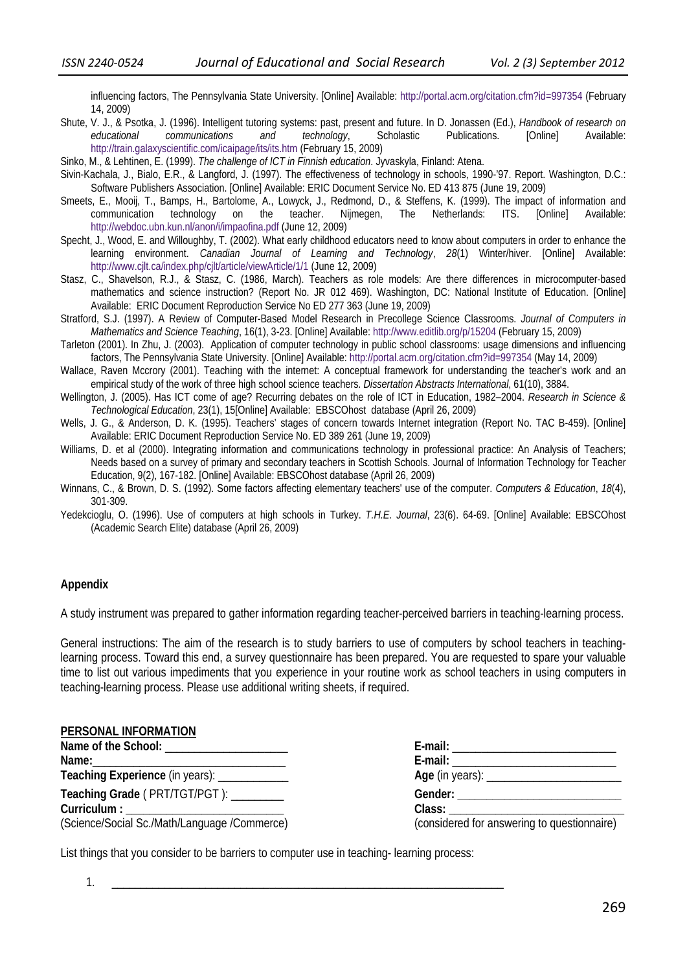influencing factors, The Pennsylvania State University. [Online] Available: http://portal.acm.org/citation.cfm?id=997354 (February 14, 2009)

Shute, V. J., & Psotka, J. (1996). Intelligent tutoring systems: past, present and future. In D. Jonassen (Ed.), *Handbook of research on educational communications and technology*, Scholastic Publications. [Online] Available: http://train.galaxyscientific.com/icaipage/its/its.htm (February 15, 2009)

Sinko, M., & Lehtinen, E. (1999). *The challenge of ICT in Finnish education*. Jyvaskyla, Finland: Atena.

- Sivin-Kachala, J., Bialo, E.R., & Langford, J. (1997). The effectiveness of technology in schools, 1990-'97. Report. Washington, D.C.: Software Publishers Association. [Online] Available: ERIC Document Service No. ED 413 875 (June 19, 2009)
- Smeets, E., Mooij, T., Bamps, H., Bartolome, A., Lowyck, J., Redmond, D., & Steffens, K. (1999). The impact of information and communication technology on the teacher. Nijmegen, The Netherlands: ITS. [Online] Available: http://webdoc.ubn.kun.nl/anon/i/impaofina.pdf (June 12, 2009)
- Specht, J., Wood, E. and Willoughby, T. (2002). What early childhood educators need to know about computers in order to enhance the learning environment. *Canadian Journal of Learning and Technology*, *28*(1) Winter/hiver. [Online] Available: http://www.cjlt.ca/index.php/cjlt/article/viewArticle/1/1 (June 12, 2009)
- Stasz, C., Shavelson, R.J., & Stasz, C. (1986, March). Teachers as role models: Are there differences in microcomputer-based mathematics and science instruction? (Report No. JR 012 469). Washington, DC: National Institute of Education. [Online] Available: ERIC Document Reproduction Service No ED 277 363 (June 19, 2009)
- Stratford, S.J. (1997). A Review of Computer-Based Model Research in Precollege Science Classrooms. *Journal of Computers in Mathematics and Science Teaching*, 16(1), 3-23. [Online] Available: http://www.editlib.org/p/15204 (February 15, 2009)
- Tarleton (2001). In Zhu, J. (2003). Application of computer technology in public school classrooms: usage dimensions and influencing factors, The Pennsylvania State University. [Online] Available: http://portal.acm.org/citation.cfm?id=997354 (May 14, 2009)
- Wallace, Raven Mccrory (2001). Teaching with the internet: A conceptual framework for understanding the teacher's work and an empirical study of the work of three high school science teachers. *Dissertation Abstracts International*, 61(10), 3884.
- Wellington, J. (2005). Has ICT come of age? Recurring debates on the role of ICT in Education, 1982–2004. *Research in Science & Technological Education*, 23(1), 15[Online] Available: EBSCOhost database (April 26, 2009)
- Wells, J. G., & Anderson, D. K. (1995). Teachers' stages of concern towards Internet integration (Report No. TAC B-459). [Online] Available: ERIC Document Reproduction Service No. ED 389 261 (June 19, 2009)
- Williams, D. et al (2000). Integrating information and communications technology in professional practice: An Analysis of Teachers; Needs based on a survey of primary and secondary teachers in Scottish Schools. Journal of Information Technology for Teacher Education, 9(2), 167-182. [Online] Available: EBSCOhost database (April 26, 2009)
- Winnans, C., & Brown, D. S. (1992). Some factors affecting elementary teachers' use of the computer. *Computers & Education*, *18*(4), 301-309.
- Yedekcioglu, O. (1996). Use of computers at high schools in Turkey. *T.H.E. Journal*, 23(6). 64-69. [Online] Available: EBSCOhost (Academic Search Elite) database (April 26, 2009)

# **Appendix**

A study instrument was prepared to gather information regarding teacher-perceived barriers in teaching-learning process.

General instructions: The aim of the research is to study barriers to use of computers by school teachers in teachinglearning process. Toward this end, a survey questionnaire has been prepared. You are requested to spare your valuable time to list out various impediments that you experience in your routine work as school teachers in using computers in teaching-learning process. Please use additional writing sheets, if required.

| PERSONAL INFORMATION                         |                                             |
|----------------------------------------------|---------------------------------------------|
|                                              |                                             |
|                                              |                                             |
| Teaching Experience (in years): ____________ | Age (in years): __________________________  |
| Teaching Grade (PRT/TGT/PGT): ________       |                                             |
| Curriculum : _____________________________   |                                             |
| (Science/Social Sc./Math/Language /Commerce) | (considered for answering to questionnaire) |

List things that you consider to be barriers to computer use in teaching- learning process:

1. \_\_\_\_\_\_\_\_\_\_\_\_\_\_\_\_\_\_\_\_\_\_\_\_\_\_\_\_\_\_\_\_\_\_\_\_\_\_\_\_\_\_\_\_\_\_\_\_\_\_\_\_\_\_\_\_\_\_\_\_\_\_\_\_\_\_\_